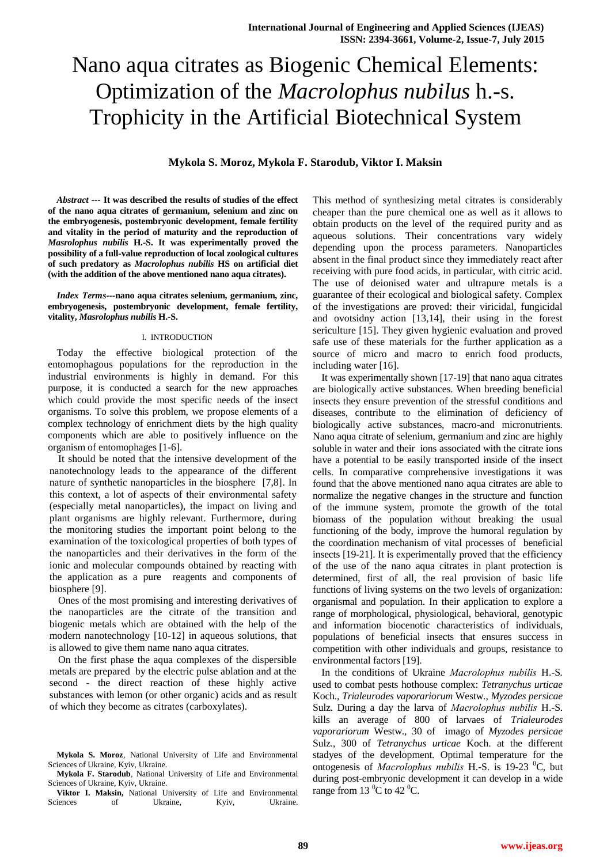# Nano aqua citrates as Biogenic Chemical Elements: Optimization of the *Macrolophus nubilus* h.-s. Trophicity in the Artificial Biotechnical System

**Mykola S. Moroz, Mykola F. Starodub, Viktor I. Maksin**

*Abstract ---* **It was described the results of studies of the effect of the nano aqua citrates of germanium, selenium and zinc on the embryogenesis, postembryonic development, female fertility and vitality in the period of maturity and the reproduction of**  *Masrolophus nubilis* **H.-S. It was experimentally proved the possibility of a full-value reproduction of local zoological cultures of such predatory as** *Macrolophus nubilis* **HS on artificial diet (with the addition of the above mentioned nano aqua citrates).**

*Index Terms---***nano aqua citrates selenium, germanium, zinc, embryogenesis, postembryonic development, female fertility, vitality,** *Masrolophus nubilis* **H.-S.**

#### I. INTRODUCTION

Today the effective biological protection of the entomophagous populations for the reproduction in the industrial environments is highly in demand. For this purpose, it is conducted a search for the new approaches which could provide the most specific needs of the insect organisms. To solve this problem, we propose elements of a complex technology of enrichment diets by the high quality components which are able to positively influence on the organism of entomophages [1-6].

It should be noted that the intensive development of the nanotechnology leads to the appearance of the different nature of synthetic nanoparticles in the biosphere [7,8]. In this context, a lot of aspects of their environmental safety (especially metal nanoparticles), the impact on living and plant organisms are highly relevant. Furthermore, during the monitoring studies the important point belong to the examination of the toxicological properties of both types of the nanoparticles and their derivatives in the form of the ionic and molecular compounds obtained by reacting with the application as a pure reagents and components of biosphere [9].

Ones of the most promising and interesting derivatives of the nanoparticles are the citrate of the transition and biogenic metals which are obtained with the help of the modern nanotechnology [10-12] in aqueous solutions, that is allowed to give them name nano aqua citrates.

On the first phase the aqua complexes of the dispersible metals are prepared by the electric pulse ablation and at the second - the direct reaction of these highly active substances with lemon (or other organic) acids and as result of which they become as citrates (carboxylates).

This method of synthesizing metal citrates is considerably cheaper than the pure chemical one as well as it allows to obtain products on the level of the required purity and as aqueous solutions. Their concentrations vary widely depending upon the process parameters. Nanoparticles absent in the final product since they immediately react after receiving with pure food acids, in particular, with citric acid. The use of deionised water and ultrapure metals is a guarantee of their ecological and biological safety. Complex of the investigations are proved: their viricidal, fungicidal and ovotsidny action [13,14], their using in the forest sericulture [15]. They given hygienic evaluation and proved safe use of these materials for the further application as a source of micro and macro to enrich food products, including water [16].

It was experimentally shown [17-19] that nano aqua citrates are biologically active substances. When breeding beneficial insects they ensure prevention of the stressful conditions and diseases, contribute to the elimination of deficiency of biologically active substances, macro-and micronutrients. Nano aqua citrate of selenium, germanium and zinc are highly soluble in water and their ions associated with the citrate ions have a potential to be easily transported inside of the insect cells. In comparative comprehensive investigations it was found that the above mentioned nano aqua citrates are able to normalize the negative changes in the structure and function of the immune system, promote the growth of the total biomass of the population without breaking the usual functioning of the body, improve the humoral regulation by the coordination mechanism of vital processes of beneficial insects [19-21]. It is experimentally proved that the efficiency of the use of the nano aqua citrates in plant protection is determined, first of all, the real provision of basic life functions of living systems on the two levels of organization: organismal and population. In their application to explore a range of morphological, physiological, behavioral, genotypic and information biocenotic characteristics of individuals, populations of beneficial insects that ensures success in competition with other individuals and groups, resistance to environmental factors [19].

In the conditions of Ukraine *Масrolophus nubilis* H.-S*.* used to combat pests hothouse complex: *Tetranychus urticae*  Koch., *Trialeurodes vaporariorum* Westw*.*, *Myzodes persicae*  Sulz. During a day the larva of *Масrolophus nubilis* H.-S. kills an average of 800 of larvaes of *Trialeurodes vaporariorum* Westw., 30 of imago of *Myzodes persicae* Sulz., 300 of *Tetranychus urticae* Koch. at the different stadyes of the development. Optimal temperature for the ontogenesis of *Macrolophus nubilis* H.-S. is 19-23 <sup>0</sup>C, but during post-embryonic development it can develop in a wide range from 13 $\mathrm{^0C}$  to 42 $\mathrm{^0C}$ .

**Mykola S. Moroz**, National University of Life and Environmental Sciences of Ukraine, Kyiv, Ukraine.

**Mykola F. Starodub**, National University of Life and Environmental Sciences of Ukraine, Kyiv, Ukraine.

**Viktor I. Maksin,** National University of Life and Environmental Sciences of Ukraine. Kyiv, Ukraine. Sciences of Ukraine, Kyiv, Ukraine.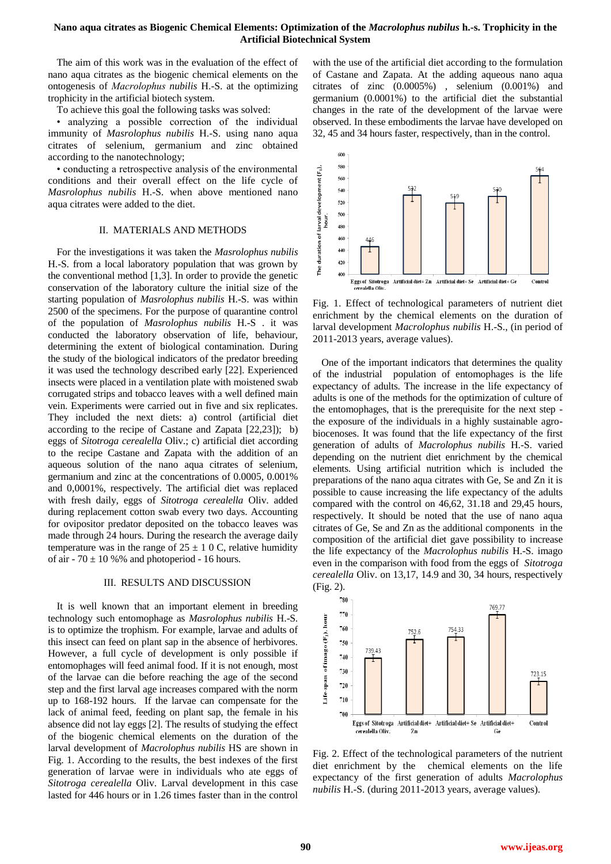## **Nano aqua citrates as Biogenic Chemical Elements: Optimization of the** *Macrolophus nubilus* **h.-s. Trophicity in the Artificial Biotechnical System**

The aim of this work was in the evaluation of the effect of nano aqua citrates as the biogenic chemical elements on the ontogenesis of *Масrolophus nubilis* H.-S. at the optimizing trophicity in the artificial biotech system.

To achieve this goal the following tasks was solved:

• analyzing a possible correction of the individual immunity of *Masrolophus nubilis* H.-S. using nano aqua citrates of selenium, germanium and zinc obtained according to the nanotechnology;

• conducting a retrospective analysis of the environmental conditions and their overall effect on the life cycle of *Masrolophus nubilis* H.-S. when above mentioned nano aqua citrates were added to the diet.

## II. MATERIALS AND METHODS

For the investigations it was taken the *Masrolophus nubilis* H.-S. from a local laboratory population that was grown by the conventional method [1,3]. In order to provide the genetic conservation of the laboratory culture the initial size of the starting population of *Masrolophus nubilis* H.-S. was within 2500 of the specimens. For the purpose of quarantine control of the population of *Masrolophus nubilis* H.-S . it was conducted the laboratory observation of life, behaviour, determining the extent of biological contamination. During the study of the biological indicators of the predator breeding it was used the technology described early [22]. Experienced insects were placed in a ventilation plate with moistened swab corrugated strips and tobacco leaves with a well defined main vein. Experiments were carried out in five and six replicates. They included the next diets: a) control (artificial diet according to the recipe of Castane and Zapata [22,23]); b) eggs of *Sitotroga cerealella* Oliv.; c) artificial diet according to the recipe Castane and Zapata with the addition of an aqueous solution of the nano aqua citrates of selenium, germanium and zinc at the concentrations of 0.0005, 0.001% and 0,0001%, respectively. The artificial diet was replaced with fresh daily, eggs of *Sitotroga cerealella* Oliv. added during replacement cotton swab every two days. Accounting for ovipositor predator deposited on the tobacco leaves was made through 24 hours. During the research the average daily temperature was in the range of  $25 \pm 10$  C, relative humidity of air -  $70 \pm 10$  %% and photoperiod - 16 hours.

### III. RESULTS AND DISCUSSION

It is well known that an important element in breeding technology such entomophage as *Masrolophus nubilis* H.-S. is to optimize the trophism. For example, larvae and adults of this insect can feed on plant sap in the absence of herbivores. However, a full cycle of development is only possible if entomophages will feed animal food. If it is not enough, most of the larvae can die before reaching the age of the second step and the first larval age increases compared with the norm up to 168-192 hours. If the larvae can compensate for the lack of animal feed, feeding on plant sap, the female in his absence did not lay eggs [2]. The results of studying the effect of the biogenic chemical elements on the duration of the larval development of *Macrolophus nubilis* HS are shown in Fig. 1. According to the results, the best indexes of the first generation of larvae were in individuals who ate eggs of *Sitotroga cerealella* Oliv. Larval development in this case lasted for 446 hours or in 1.26 times faster than in the control

with the use of the artificial diet according to the formulation of Castane and Zapata. At the adding aqueous nano aqua citrates of zinc (0.0005%) , selenium (0.001%) and germanium (0.0001%) to the artificial diet the substantial changes in the rate of the development of the larvae were observed. In these embodiments the larvae have developed on 32, 45 and 34 hours faster, respectively, than in the control.



Fig. 1. Effect of technological parameters of nutrient diet enrichment by the chemical elements on the duration of larval development *Macrolophus nubilis* H.-S., (in period of 2011-2013 years, average values).

One of the important indicators that determines the quality of the industrial population of entomophages is the life expectancy of adults. The increase in the life expectancy of adults is one of the methods for the optimization of culture of the entomophages, that is the prerequisite for the next step the exposure of the individuals in a highly sustainable agrobiocenoses. It was found that the life expectancy of the first generation of adults of *Macrolophus nubilis* H.-S. varied depending on the nutrient diet enrichment by the chemical elements. Using artificial nutrition which is included the preparations of the nano aqua citrates with Ge, Se and Zn it is possible to cause increasing the life expectancy of the adults compared with the control on 46,62, 31.18 and 29,45 hours, respectively. It should be noted that the use of nano aqua citrates of Ge, Se and Zn as the additional components in the composition of the artificial diet gave possibility to increase the life expectancy of the *Macrolophus nubilis* H.-S. imago even in the comparison with food from the eggs of *Sitotroga cerealella* Oliv. on 13,17, 14.9 and 30, 34 hours, respectively (Fig. 2).



Fig. 2. Effect of the technological parameters of the nutrient diet enrichment by the chemical elements on the life expectancy of the first generation of adults *Macrolophus nubilis* H.-S. (during 2011-2013 years, average values).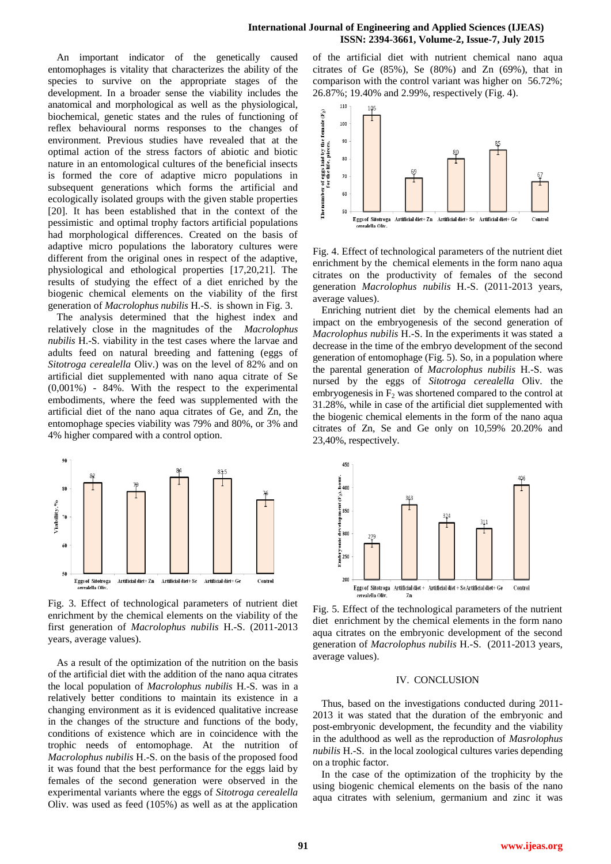## **International Journal of Engineering and Applied Sciences (IJEAS) ISSN: 2394-3661, Volume-2, Issue-7, July 2015**

An important indicator of the genetically caused entomophages is vitality that characterizes the ability of the species to survive on the appropriate stages of the development. In a broader sense the viability includes the anatomical and morphological as well as the physiological, biochemical, genetic states and the rules of functioning of reflex behavioural norms responses to the changes of environment. Previous studies have revealed that at the optimal action of the stress factors of abiotic and biotic nature in an entomological cultures of the beneficial insects is formed the core of adaptive micro populations in subsequent generations which forms the artificial and ecologically isolated groups with the given stable properties [20]. It has been established that in the context of the pessimistic and optimal trophy factors artificial populations had morphological differences. Created on the basis of adaptive micro populations the laboratory cultures were different from the original ones in respect of the adaptive, physiological and ethological properties [17,20,21]. The results of studying the effect of a diet enriched by the biogenic chemical elements on the viability of the first generation of *Macrolophus nubilis* H.-S. is shown in Fig. 3.

The analysis determined that the highest index and relatively close in the magnitudes of the *Macrolophus nubilis* H.-S. viability in the test cases where the larvae and adults feed on natural breeding and fattening (eggs of *Sitotroga cerealella* Oliv.) was on the level of 82% and on artificial diet supplemented with nano aqua citrate of Se (0,001%) - 84%. With the respect to the experimental embodiments, where the feed was supplemented with the artificial diet of the nano aqua citrates of Ge, and Zn, the entomophage species viability was 79% and 80%, or 3% and 4% higher compared with a control option.



Fig. 3. Effect of technological parameters of nutrient diet enrichment by the chemical elements on the viability of the first generation of *Macrolophus nubilis* H.-S. (2011-2013 years, average values).

As a result of the optimization of the nutrition on the basis of the artificial diet with the addition of the nano aqua citrates the local population of *Macrolophus nubilis* H.-S. was in a relatively better conditions to maintain its existence in a changing environment as it is evidenced qualitative increase in the changes of the structure and functions of the body, conditions of existence which are in coincidence with the trophic needs of entomophage. At the nutrition of *Macrolophus nubilis* H.-S. on the basis of the proposed food it was found that the best performance for the eggs laid by females of the second generation were observed in the experimental variants where the eggs of *Sitotroga cerealella* Oliv. was used as feed (105%) as well as at the application of the artificial diet with nutrient chemical nano aqua citrates of Ge (85%), Se (80%) and Zn (69%), that in comparison with the control variant was higher on 56.72%; 26.87%; 19.40% and 2.99%, respectively (Fig. 4).



Fig. 4. Effect of technological parameters of the nutrient diet enrichment by the chemical elements in the form nano aqua citrates on the productivity of females of the second generation *Macrolophus nubilis* H.-S. (2011-2013 years, average values).

Enriching nutrient diet by the chemical elements had an impact on the embryogenesis of the second generation of *Macrolophus nubilis* H.-S. In the experiments it was stated a decrease in the time of the embryo development of the second generation of entomophage (Fig. 5). So, in a population where the parental generation of *Macrolophus nubilis* H.-S. was nursed by the eggs of *Sitotroga cerealella* Oliv. the embryogenesis in  $F<sub>2</sub>$  was shortened compared to the control at 31.28%, while in case of the artificial diet supplemented with the biogenic chemical elements in the form of the nano aqua citrates of Zn, Se and Ge only on 10,59% 20.20% and 23,40%, respectively.



Fig. 5. Effect of the technological parameters of the nutrient diet enrichment by the chemical elements in the form nano aqua citrates on the embryonic development of the second generation of *Macrolophus nubilis* H.-S. (2011-2013 years, average values).

## IV. CONCLUSION

Thus, based on the investigations conducted during 2011- 2013 it was stated that the duration of the embryonic and post-embryonic development, the fecundity and the viability in the adulthood as well as the reproduction of *Masrolophus nubilis* H.-S. in the local zoological cultures varies depending on a trophic factor.

In the case of the optimization of the trophicity by the using biogenic chemical elements on the basis of the nano aqua citrates with selenium, germanium and zinc it was